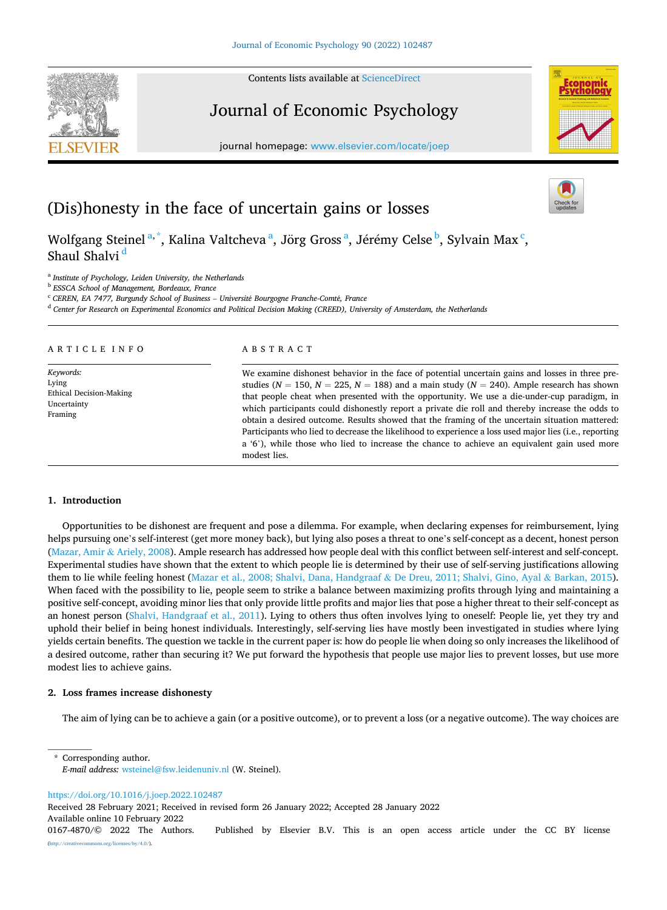Contents lists available at [ScienceDirect](www.sciencedirect.com/science/journal/01674870)

# Journal of Economic Psychology

journal homepage: [www.elsevier.com/locate/joep](https://www.elsevier.com/locate/joep) 

(Dis)honesty in the face of uncertain gains or losses

Wolfgang Steinel<sup>a,\*</sup>, Kalina Valtcheva<sup>a</sup>, Jörg Gross<sup>a</sup>, Jérémy Celse<sup>b</sup>, Sylvain Max<sup>c</sup>, Shaul Shalvi<sup>d</sup>

<sup>a</sup> *Institute of Psychology, Leiden University, the Netherlands* 

<sup>b</sup> *ESSCA School of Management, Bordeaux, France* 

<sup>c</sup> *CEREN, EA 7477, Burgundy School of Business* – *Universit*´*e Bourgogne Franche-Comt*´*e, France* 

<sup>d</sup> *Center for Research on Experimental Economics and Political Decision Making (CREED), University of Amsterdam, the Netherlands* 

ARTICLE INFO

*Keywords:*  Lying Ethical Decision-Making Uncertainty Framing

# ABSTRACT

We examine dishonest behavior in the face of potential uncertain gains and losses in three prestudies ( $N = 150$ ,  $N = 225$ ,  $N = 188$ ) and a main study ( $N = 240$ ). Ample research has shown that people cheat when presented with the opportunity. We use a die-under-cup paradigm, in which participants could dishonestly report a private die roll and thereby increase the odds to obtain a desired outcome. Results showed that the framing of the uncertain situation mattered: Participants who lied to decrease the likelihood to experience a loss used major lies (i.e., reporting a '6'), while those who lied to increase the chance to achieve an equivalent gain used more modest lies.

# **1. Introduction**

Opportunities to be dishonest are frequent and pose a dilemma. For example, when declaring expenses for reimbursement, lying helps pursuing one's self-interest (get more money back), but lying also poses a threat to one's self-concept as a decent, honest person [\(Mazar, Amir](#page-11-0) & Ariely, 2008). Ample research has addressed how people deal with this conflict between self-interest and self-concept. Experimental studies have shown that the extent to which people lie is determined by their use of self-serving justifications allowing them to lie while feeling honest [\(Mazar et al., 2008; Shalvi, Dana, Handgraaf](#page-11-0) & De Dreu, 2011; Shalvi, Gino, Ayal & Barkan, 2015). When faced with the possibility to lie, people seem to strike a balance between maximizing profits through lying and maintaining a positive self-concept, avoiding minor lies that only provide little profits and major lies that pose a higher threat to their self-concept as an honest person [\(Shalvi, Handgraaf et al., 2011\)](#page-12-0). Lying to others thus often involves lying to oneself: People lie, yet they try and uphold their belief in being honest individuals. Interestingly, self-serving lies have mostly been investigated in studies where lying yields certain benefits. The question we tackle in the current paper is: how do people lie when doing so only increases the likelihood of a desired outcome, rather than securing it? We put forward the hypothesis that people use major lies to prevent losses, but use more modest lies to achieve gains.

# **2. Loss frames increase dishonesty**

The aim of lying can be to achieve a gain (or a positive outcome), or to prevent a loss (or a negative outcome). The way choices are

Corresponding author. *E-mail address:* [wsteinel@fsw.leidenuniv.nl](mailto:wsteinel@fsw.leidenuniv.nl) (W. Steinel).

<https://doi.org/10.1016/j.joep.2022.102487>

Received 28 February 2021; Received in revised form 26 January 2022; Accepted 28 January 2022

Available online 10 February 2022





<sup>0167-4870/© 2022</sup> The Authors. Published by Elsevier B.V. This is an open access article under the CC BY license [\(http://creativecommons.org/licenses/by/4.0/\)](http://creativecommons.org/licenses/by/4.0/).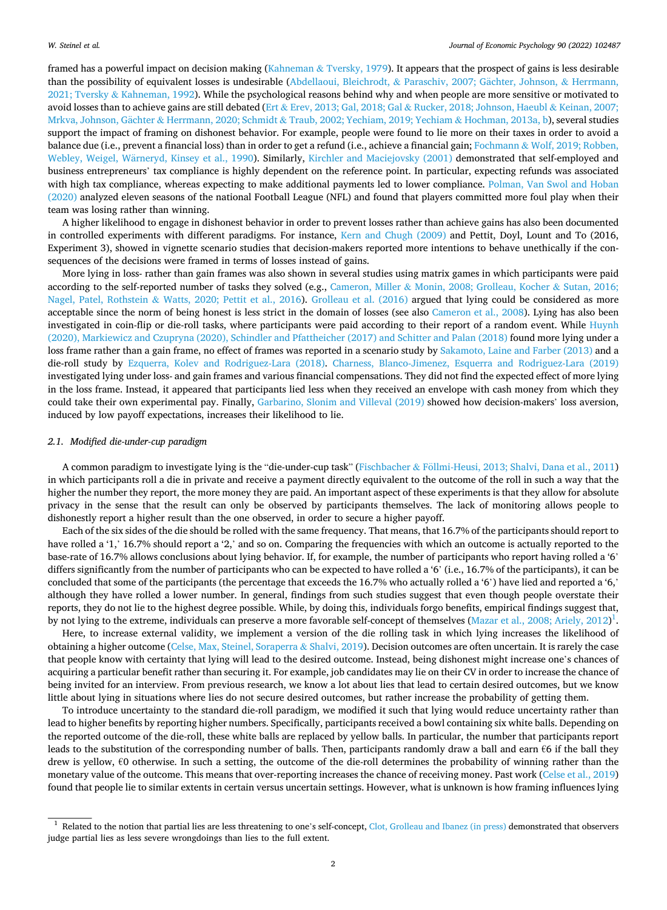framed has a powerful impact on decision making (Kahneman & [Tversky, 1979\)](#page-11-0). It appears that the prospect of gains is less desirable than the possibility of equivalent losses is undesirable (Abdellaoui, Bleichrodt, & Paraschiv, 2007; Gächter, Johnson, & Herrmann,  $2021$ ; Tversky & [Kahneman, 1992\)](#page-11-0). While the psychological reasons behind why and when people are more sensitive or motivated to avoid losses than to achieve gains are still debated (Ert & Erev, 2013; Gal, 2018; Gal & [Rucker, 2018; Johnson, Haeubl](#page-11-0) & Keinan, 2007; Mrkva, Johnson, Gächter & Herrmann, 2020; Schmidt & [Traub, 2002; Yechiam, 2019; Yechiam](#page-11-0) & Hochman, 2013a, b), several studies support the impact of framing on dishonest behavior. For example, people were found to lie more on their taxes in order to avoid a balance due (i.e., prevent a financial loss) than in order to get a refund (i.e., achieve a financial gain; Fochmann & [Wolf, 2019; Robben,](#page-11-0) Webley, Weigel, Wärneryd, Kinsey et al., 1990). Similarly, [Kirchler and Maciejovsky \(2001\)](#page-11-0) demonstrated that self-employed and business entrepreneurs' tax compliance is highly dependent on the reference point. In particular, expecting refunds was associated with high tax compliance, whereas expecting to make additional payments led to lower compliance. [Polman, Van Swol and Hoban](#page-12-0) [\(2020\)](#page-12-0) analyzed eleven seasons of the national Football League (NFL) and found that players committed more foul play when their team was losing rather than winning.

A higher likelihood to engage in dishonest behavior in order to prevent losses rather than achieve gains has also been documented in controlled experiments with different paradigms. For instance, [Kern and Chugh \(2009\)](#page-11-0) and Pettit, Doyl, Lount and To (2016, Experiment 3), showed in vignette scenario studies that decision-makers reported more intentions to behave unethically if the consequences of the decisions were framed in terms of losses instead of gains.

More lying in loss- rather than gain frames was also shown in several studies using matrix games in which participants were paid according to the self-reported number of tasks they solved (e.g., Cameron, Miller & [Monin, 2008; Grolleau, Kocher](#page-11-0) & Sutan, 2016; Nagel, Patel, Rothstein & [Watts, 2020; Pettit et al., 2016](#page-11-0)). [Grolleau et al. \(2016\)](#page-11-0) argued that lying could be considered as more acceptable since the norm of being honest is less strict in the domain of losses (see also [Cameron et al., 2008\)](#page-11-0). Lying has also been investigated in coin-flip or die-roll tasks, where participants were paid according to their report of a random event. While [Huynh](#page-11-0) [\(2020\), Markiewicz and Czupryna \(2020\), Schindler and Pfattheicher \(2017\) and Schitter and Palan \(2018\)](#page-11-0) found more lying under a loss frame rather than a gain frame, no effect of frames was reported in a scenario study by [Sakamoto, Laine and Farber \(2013\)](#page-12-0) and a die-roll study by [Ezquerra, Kolev and Rodriguez-Lara \(2018\)](#page-11-0). [Charness, Blanco-Jimenez, Esquerra and Rodriguez-Lara \(2019\)](#page-11-0) investigated lying under loss- and gain frames and various financial compensations. They did not find the expected effect of more lying in the loss frame. Instead, it appeared that participants lied less when they received an envelope with cash money from which they could take their own experimental pay. Finally, [Garbarino, Slonim and Villeval \(2019\)](#page-11-0) showed how decision-makers' loss aversion, induced by low payoff expectations, increases their likelihood to lie.

#### *2.1. Modified die-under-cup paradigm*

A common paradigm to investigate lying is the "die-under-cup task" (Fischbacher & Föllmi-Heusi, [2013; Shalvi, Dana et al., 2011](#page-11-0)) in which participants roll a die in private and receive a payment directly equivalent to the outcome of the roll in such a way that the higher the number they report, the more money they are paid. An important aspect of these experiments is that they allow for absolute privacy in the sense that the result can only be observed by participants themselves. The lack of monitoring allows people to dishonestly report a higher result than the one observed, in order to secure a higher payoff.

Each of the six sides of the die should be rolled with the same frequency. That means, that 16.7% of the participants should report to have rolled a '1,' 16.7% should report a '2,' and so on. Comparing the frequencies with which an outcome is actually reported to the base-rate of 16.7% allows conclusions about lying behavior. If, for example, the number of participants who report having rolled a '6' differs significantly from the number of participants who can be expected to have rolled a '6' (i.e., 16.7% of the participants), it can be concluded that some of the participants (the percentage that exceeds the 16.7% who actually rolled a '6') have lied and reported a '6,' although they have rolled a lower number. In general, findings from such studies suggest that even though people overstate their reports, they do not lie to the highest degree possible. While, by doing this, individuals forgo benefits, empirical findings suggest that, by not lying to the extreme, individuals can preserve a more favorable self-concept of themselves ([Mazar et al., 2008; Ariely, 2012\)](#page-11-0)<sup>1</sup>.

Here, to increase external validity, we implement a version of the die rolling task in which lying increases the likelihood of obtaining a higher outcome ([Celse, Max, Steinel, Soraperra](#page-11-0) & Shalvi, 2019). Decision outcomes are often uncertain. It is rarely the case that people know with certainty that lying will lead to the desired outcome. Instead, being dishonest might increase one's chances of acquiring a particular benefit rather than securing it. For example, job candidates may lie on their CV in order to increase the chance of being invited for an interview. From previous research, we know a lot about lies that lead to certain desired outcomes, but we know little about lying in situations where lies do not secure desired outcomes, but rather increase the probability of getting them.

To introduce uncertainty to the standard die-roll paradigm, we modified it such that lying would reduce uncertainty rather than lead to higher benefits by reporting higher numbers. Specifically, participants received a bowl containing six white balls. Depending on the reported outcome of the die-roll, these white balls are replaced by yellow balls. In particular, the number that participants report leads to the substitution of the corresponding number of balls. Then, participants randomly draw a ball and earn €6 if the ball they drew is yellow,  $\epsilon$ 0 otherwise. In such a setting, the outcome of the die-roll determines the probability of winning rather than the monetary value of the outcome. This means that over-reporting increases the chance of receiving money. Past work [\(Celse et al., 2019](#page-11-0)) found that people lie to similar extents in certain versus uncertain settings. However, what is unknown is how framing influences lying

<sup>&</sup>lt;sup>1</sup> Related to the notion that partial lies are less threatening to one's self-concept, [Clot, Grolleau and Ibanez \(in press\)](#page-11-0) demonstrated that observers judge partial lies as less severe wrongdoings than lies to the full extent.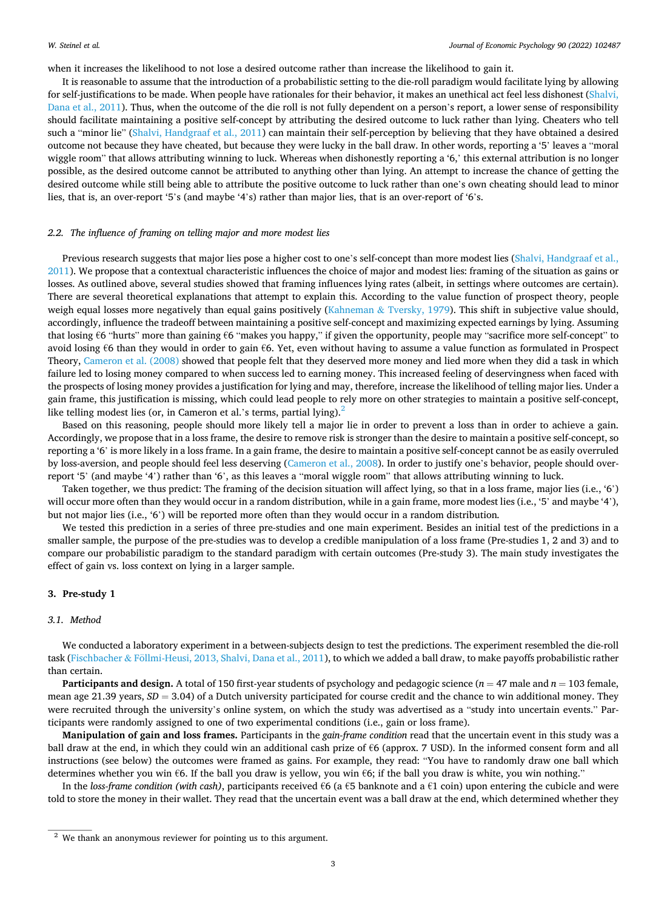when it increases the likelihood to not lose a desired outcome rather than increase the likelihood to gain it.

It is reasonable to assume that the introduction of a probabilistic setting to the die-roll paradigm would facilitate lying by allowing for self-justifications to be made. When people have rationales for their behavior, it makes an unethical act feel less dishonest [\(Shalvi,](#page-12-0) [Dana et al., 2011](#page-12-0)). Thus, when the outcome of the die roll is not fully dependent on a person's report, a lower sense of responsibility should facilitate maintaining a positive self-concept by attributing the desired outcome to luck rather than lying. Cheaters who tell such a "minor lie" [\(Shalvi, Handgraaf et al., 2011](#page-12-0)) can maintain their self-perception by believing that they have obtained a desired outcome not because they have cheated, but because they were lucky in the ball draw. In other words, reporting a '5' leaves a "moral wiggle room" that allows attributing winning to luck. Whereas when dishonestly reporting a '6,' this external attribution is no longer possible, as the desired outcome cannot be attributed to anything other than lying. An attempt to increase the chance of getting the desired outcome while still being able to attribute the positive outcome to luck rather than one's own cheating should lead to minor lies, that is, an over-report '5's (and maybe '4's) rather than major lies, that is an over-report of '6's.

#### *2.2. The influence of framing on telling major and more modest lies*

Previous research suggests that major lies pose a higher cost to one's self-concept than more modest lies [\(Shalvi, Handgraaf et al.,](#page-12-0) [2011\)](#page-12-0). We propose that a contextual characteristic influences the choice of major and modest lies: framing of the situation as gains or losses. As outlined above, several studies showed that framing influences lying rates (albeit, in settings where outcomes are certain). There are several theoretical explanations that attempt to explain this. According to the value function of prospect theory, people weigh equal losses more negatively than equal gains positively (Kahneman & [Tversky, 1979](#page-11-0)). This shift in subjective value should, accordingly, influence the tradeoff between maintaining a positive self-concept and maximizing expected earnings by lying. Assuming that losing €6 "hurts" more than gaining €6 "makes you happy," if given the opportunity, people may "sacrifice more self-concept" to avoid losing €6 than they would in order to gain €6. Yet, even without having to assume a value function as formulated in Prospect Theory, [Cameron et al. \(2008\)](#page-11-0) showed that people felt that they deserved more money and lied more when they did a task in which failure led to losing money compared to when success led to earning money. This increased feeling of deservingness when faced with the prospects of losing money provides a justification for lying and may, therefore, increase the likelihood of telling major lies. Under a gain frame, this justification is missing, which could lead people to rely more on other strategies to maintain a positive self-concept, like telling modest lies (or, in Cameron et al.'s terms, partial lying).<sup>2</sup>

Based on this reasoning, people should more likely tell a major lie in order to prevent a loss than in order to achieve a gain. Accordingly, we propose that in a loss frame, the desire to remove risk is stronger than the desire to maintain a positive self-concept, so reporting a '6' is more likely in a loss frame. In a gain frame, the desire to maintain a positive self-concept cannot be as easily overruled by loss-aversion, and people should feel less deserving ([Cameron et al., 2008](#page-11-0)). In order to justify one's behavior, people should overreport '5' (and maybe '4') rather than '6', as this leaves a "moral wiggle room" that allows attributing winning to luck.

Taken together, we thus predict: The framing of the decision situation will affect lying, so that in a loss frame, major lies (i.e., '6') will occur more often than they would occur in a random distribution, while in a gain frame, more modest lies (i.e., '5' and maybe '4'), but not major lies (i.e., '6') will be reported more often than they would occur in a random distribution*.* 

We tested this prediction in a series of three pre-studies and one main experiment. Besides an initial test of the predictions in a smaller sample, the purpose of the pre-studies was to develop a credible manipulation of a loss frame (Pre-studies 1, 2 and 3) and to compare our probabilistic paradigm to the standard paradigm with certain outcomes (Pre-study 3). The main study investigates the effect of gain vs. loss context on lying in a larger sample.

# **3. Pre-study 1**

#### *3.1. Method*

We conducted a laboratory experiment in a between-subjects design to test the predictions. The experiment resembled the die-roll task (Fischbacher & Föllmi-Heusi, [2013, Shalvi, Dana et al., 2011\)](#page-11-0), to which we added a ball draw, to make payoffs probabilistic rather than certain.

**Participants and design.** A total of 150 first-year students of psychology and pedagogic science (*n* = 47 male and *n* = 103 female, mean age 21.39 years,  $SD = 3.04$ ) of a Dutch university participated for course credit and the chance to win additional money. They were recruited through the university's online system, on which the study was advertised as a "study into uncertain events." Participants were randomly assigned to one of two experimental conditions (i.e., gain or loss frame).

**Manipulation of gain and loss frames.** Participants in the *gain-frame condition* read that the uncertain event in this study was a ball draw at the end, in which they could win an additional cash prize of €6 (approx. 7 USD). In the informed consent form and all instructions (see below) the outcomes were framed as gains. For example, they read: "You have to randomly draw one ball which determines whether you win €6. If the ball you draw is yellow, you win €6; if the ball you draw is white, you win nothing."

In the *loss-frame condition (with cash)*, participants received €6 (a €5 banknote and a €1 coin) upon entering the cubicle and were told to store the money in their wallet. They read that the uncertain event was a ball draw at the end, which determined whether they

<sup>2</sup> We thank an anonymous reviewer for pointing us to this argument.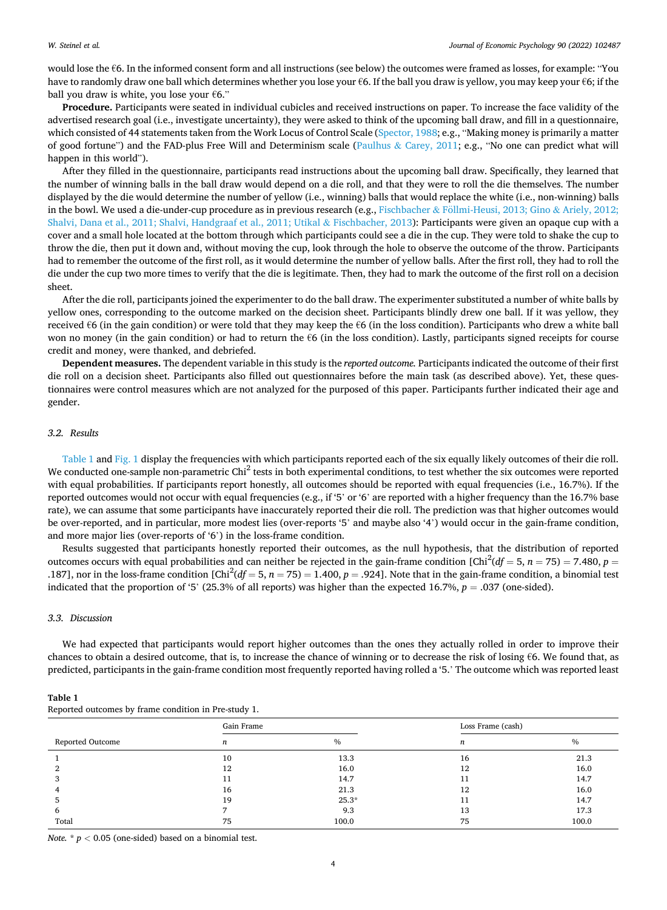#### *W. Steinel et al.*

would lose the €6. In the informed consent form and all instructions (see below) the outcomes were framed as losses, for example: "You have to randomly draw one ball which determines whether you lose your €6. If the ball you draw is yellow, you may keep your €6; if the ball you draw is white, you lose your  $€6."$ 

**Procedure.** Participants were seated in individual cubicles and received instructions on paper. To increase the face validity of the advertised research goal (i.e., investigate uncertainty), they were asked to think of the upcoming ball draw, and fill in a questionnaire, which consisted of 44 statements taken from the Work Locus of Control Scale ([Spector, 1988](#page-12-0); e.g., "Making money is primarily a matter of good fortune") and the FAD-plus Free Will and Determinism scale (Paulhus & [Carey, 2011](#page-11-0); e.g., "No one can predict what will happen in this world").

After they filled in the questionnaire, participants read instructions about the upcoming ball draw. Specifically, they learned that the number of winning balls in the ball draw would depend on a die roll, and that they were to roll the die themselves. The number displayed by the die would determine the number of yellow (i.e., winning) balls that would replace the white (i.e., non-winning) balls in the bowl. We used a die-under-cup procedure as in previous research (e.g., Fischbacher & Föllmi-Heusi, 2013; Gino & Ariely, 2012; [Shalvi, Dana et al., 2011; Shalvi, Handgraaf et al., 2011; Utikal](#page-11-0) & Fischbacher, 2013): Participants were given an opaque cup with a cover and a small hole located at the bottom through which participants could see a die in the cup. They were told to shake the cup to throw the die, then put it down and, without moving the cup, look through the hole to observe the outcome of the throw. Participants had to remember the outcome of the first roll, as it would determine the number of yellow balls. After the first roll, they had to roll the die under the cup two more times to verify that the die is legitimate. Then, they had to mark the outcome of the first roll on a decision sheet.

After the die roll, participants joined the experimenter to do the ball draw. The experimenter substituted a number of white balls by yellow ones, corresponding to the outcome marked on the decision sheet. Participants blindly drew one ball. If it was yellow, they received €6 (in the gain condition) or were told that they may keep the €6 (in the loss condition). Participants who drew a white ball won no money (in the gain condition) or had to return the €6 (in the loss condition). Lastly, participants signed receipts for course credit and money, were thanked, and debriefed.

**Dependent measures.** The dependent variable in this study is the *reported outcome.* Participants indicated the outcome of their first die roll on a decision sheet. Participants also filled out questionnaires before the main task (as described above). Yet, these questionnaires were control measures which are not analyzed for the purposed of this paper. Participants further indicated their age and gender.

#### *3.2. Results*

Table 1 and [Fig. 1](#page-4-0) display the frequencies with which participants reported each of the six equally likely outcomes of their die roll. We conducted one-sample non-parametric Chi<sup>2</sup> tests in both experimental conditions, to test whether the six outcomes were reported with equal probabilities. If participants report honestly, all outcomes should be reported with equal frequencies (i.e., 16.7%). If the reported outcomes would not occur with equal frequencies (e.g., if '5' or '6' are reported with a higher frequency than the 16.7% base rate), we can assume that some participants have inaccurately reported their die roll. The prediction was that higher outcomes would be over-reported, and in particular, more modest lies (over-reports '5' and maybe also '4') would occur in the gain-frame condition, and more major lies (over-reports of '6') in the loss-frame condition.

Results suggested that participants honestly reported their outcomes, as the null hypothesis, that the distribution of reported outcomes occurs with equal probabilities and can neither be rejected in the gain-frame condition  $[Chi^2(df = 5, n = 75) = 7.480, p = 1.480, p = 1.480, p = 1.480, p = 1.480, p = 1.480, p = 1.480, p = 1.480, p = 1.480, p = 1.480, p = 1.480, p = 1.480, p$ .187], nor in the loss-frame condition [Chi<sup>2</sup>(df = 5, n = 75) = 1.400, p = .924]. Note that in the gain-frame condition, a binomial test indicated that the proportion of '5' (25.3% of all reports) was higher than the expected 16.7%, *p* = .037 (one-sided).

# *3.3. Discussion*

We had expected that participants would report higher outcomes than the ones they actually rolled in order to improve their chances to obtain a desired outcome, that is, to increase the chance of winning or to decrease the risk of losing  $\epsilon$ 6. We found that, as predicted, participants in the gain-frame condition most frequently reported having rolled a '5.' The outcome which was reported least

|                  | Gain Frame |         | Loss Frame (cash) |               |  |
|------------------|------------|---------|-------------------|---------------|--|
| Reported Outcome | n          | $\%$    | n                 | $\frac{0}{0}$ |  |
|                  | 10         | 13.3    | 16                | 21.3          |  |
|                  | 12         | 16.0    | 12                | 16.0          |  |
|                  | 11         | 14.7    |                   | 14.7          |  |
|                  | 16         | 21.3    | 12                | 16.0          |  |
|                  | 19         | $25.3*$ |                   | 14.7          |  |
| b                |            | 9.3     | 13                | 17.3          |  |
| Total            | 75         | 100.0   | 75                | 100.0         |  |

**Table 1** 

*Note.*  $*$   $p$  < 0.05 (one-sided) based on a binomial test.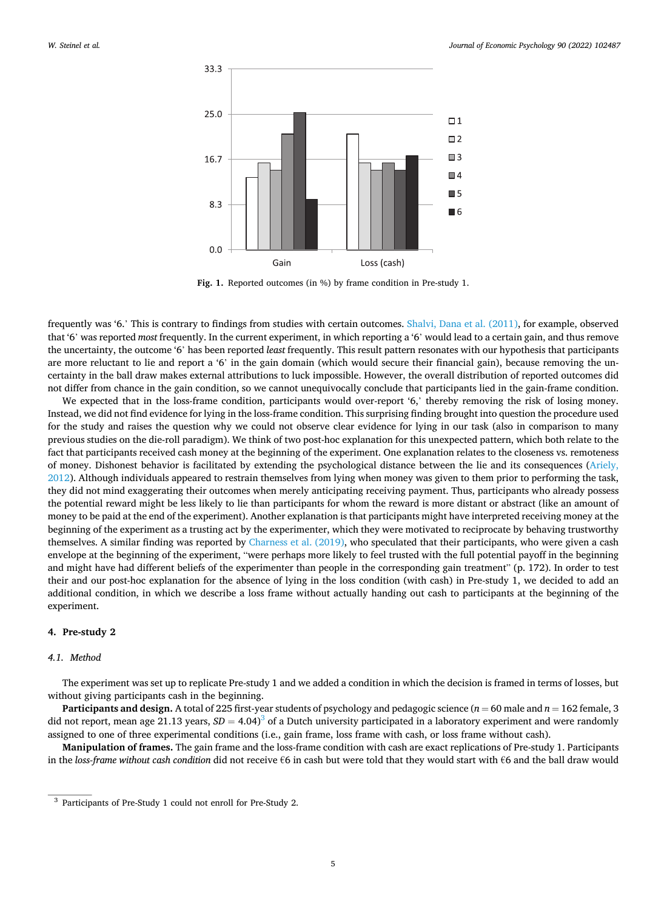<span id="page-4-0"></span>

**Fig. 1.** Reported outcomes (in %) by frame condition in Pre-study 1.

frequently was '6.' This is contrary to findings from studies with certain outcomes. [Shalvi, Dana et al. \(2011\),](#page-12-0) for example, observed that '6' was reported *most* frequently. In the current experiment, in which reporting a '6' would lead to a certain gain, and thus remove the uncertainty, the outcome '6' has been reported *least* frequently. This result pattern resonates with our hypothesis that participants are more reluctant to lie and report a '6' in the gain domain (which would secure their financial gain), because removing the uncertainty in the ball draw makes external attributions to luck impossible. However, the overall distribution of reported outcomes did not differ from chance in the gain condition, so we cannot unequivocally conclude that participants lied in the gain-frame condition.

We expected that in the loss-frame condition, participants would over-report '6,' thereby removing the risk of losing money. Instead, we did not find evidence for lying in the loss-frame condition. This surprising finding brought into question the procedure used for the study and raises the question why we could not observe clear evidence for lying in our task (also in comparison to many previous studies on the die-roll paradigm). We think of two post-hoc explanation for this unexpected pattern, which both relate to the fact that participants received cash money at the beginning of the experiment. One explanation relates to the closeness vs. remoteness of money. Dishonest behavior is facilitated by extending the psychological distance between the lie and its consequences ([Ariely,](#page-11-0) [2012\)](#page-11-0). Although individuals appeared to restrain themselves from lying when money was given to them prior to performing the task, they did not mind exaggerating their outcomes when merely anticipating receiving payment. Thus, participants who already possess the potential reward might be less likely to lie than participants for whom the reward is more distant or abstract (like an amount of money to be paid at the end of the experiment). Another explanation is that participants might have interpreted receiving money at the beginning of the experiment as a trusting act by the experimenter, which they were motivated to reciprocate by behaving trustworthy themselves. A similar finding was reported by [Charness et al. \(2019\)](#page-11-0), who speculated that their participants, who were given a cash envelope at the beginning of the experiment, "were perhaps more likely to feel trusted with the full potential payoff in the beginning and might have had different beliefs of the experimenter than people in the corresponding gain treatment" (p. 172). In order to test their and our post-hoc explanation for the absence of lying in the loss condition (with cash) in Pre-study 1, we decided to add an additional condition, in which we describe a loss frame without actually handing out cash to participants at the beginning of the experiment.

# **4. Pre-study 2**

# *4.1. Method*

The experiment was set up to replicate Pre-study 1 and we added a condition in which the decision is framed in terms of losses, but without giving participants cash in the beginning.

**Participants and design.** A total of 225 first-year students of psychology and pedagogic science ( $n = 60$  male and  $n = 162$  female, 3 did not report, mean age 21.13 years,  $SD = 4.04$ <sup>3</sup> of a Dutch university participated in a laboratory experiment and were randomly assigned to one of three experimental conditions (i.e., gain frame, loss frame with cash, or loss frame without cash).

**Manipulation of frames.** The gain frame and the loss-frame condition with cash are exact replications of Pre-study 1. Participants in the *loss-frame without cash condition* did not receive €6 in cash but were told that they would start with €6 and the ball draw would

<sup>3</sup> Participants of Pre-Study 1 could not enroll for Pre-Study 2.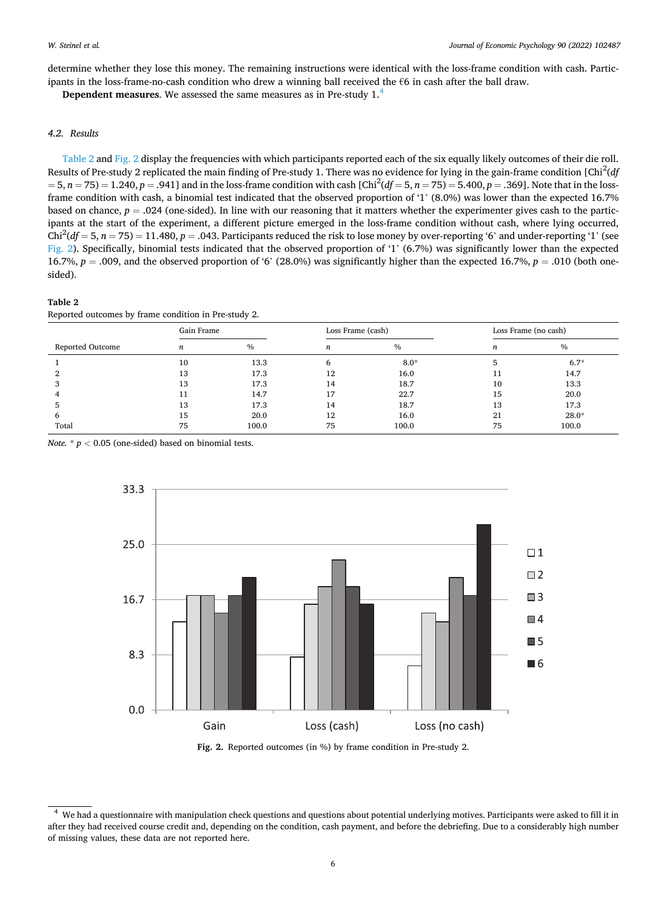determine whether they lose this money. The remaining instructions were identical with the loss-frame condition with cash. Participants in the loss-frame-no-cash condition who drew a winning ball received the  $66$  in cash after the ball draw.

**Dependent measures**. We assessed the same measures as in Pre-study 1.<sup>4</sup>

# *4.2. Results*

Table 2 and Fig. 2 display the frequencies with which participants reported each of the six equally likely outcomes of their die roll. Results of Pre-study 2 replicated the main finding of Pre-study 1. There was no evidence for lying in the gain-frame condition [Chi<sup>2</sup> (*df*   $= 5, n = 75$   $= 1.240, p = .941$  and in the loss-frame condition with cash [Chi<sup>2</sup>(df  $= 5, n = 75$ )  $= 5.400, p = .369$ ]. Note that in the lossframe condition with cash, a binomial test indicated that the observed proportion of '1' (8.0%) was lower than the expected 16.7% based on chance,  $p = .024$  (one-sided). In line with our reasoning that it matters whether the experimenter gives cash to the participants at the start of the experiment, a different picture emerged in the loss-frame condition without cash, where lying occurred, Chi<sup>2</sup>( $df = 5$ ,  $n = 75$ ) = 11.480,  $p = .043$ . Participants reduced the risk to lose money by over-reporting '6' and under-reporting '1' (see Fig. 2). Specifically, binomial tests indicated that the observed proportion of '1' (6.7%) was significantly lower than the expected 16.7%, *p* = .009, and the observed proportion of '6' (28.0%) was significantly higher than the expected 16.7%, *p* = .010 (both onesided).

# **Table 2**

Reported outcomes by frame condition in Pre-study 2.

|                  | Gain Frame |               | Loss Frame (cash) |               | Loss Frame (no cash) |         |
|------------------|------------|---------------|-------------------|---------------|----------------------|---------|
| Reported Outcome | n          | $\frac{0}{0}$ | n                 | $\frac{0}{0}$ | n                    | $\%$    |
|                  | 10         | 13.3          | 6                 | $8.0*$        |                      | $6.7*$  |
|                  | 13         | 17.3          | 12                | 16.0          | 11                   | 14.7    |
|                  | 13         | 17.3          | 14                | 18.7          | 10                   | 13.3    |
|                  | 11         | 14.7          | 17                | 22.7          | 15                   | 20.0    |
|                  | 13         | 17.3          | 14                | 18.7          | 13                   | 17.3    |
| h                | 15         | 20.0          | 12                | 16.0          | 21                   | $28.0*$ |
| Total            | 75         | 100.0         | 75                | 100.0         | 75                   | 100.0   |

*Note.*  $* p < 0.05$  (one-sided) based on binomial tests.



**Fig. 2.** Reported outcomes (in %) by frame condition in Pre-study 2.

<sup>4</sup> We had a questionnaire with manipulation check questions and questions about potential underlying motives. Participants were asked to fill it in after they had received course credit and, depending on the condition, cash payment, and before the debriefing. Due to a considerably high number of missing values, these data are not reported here.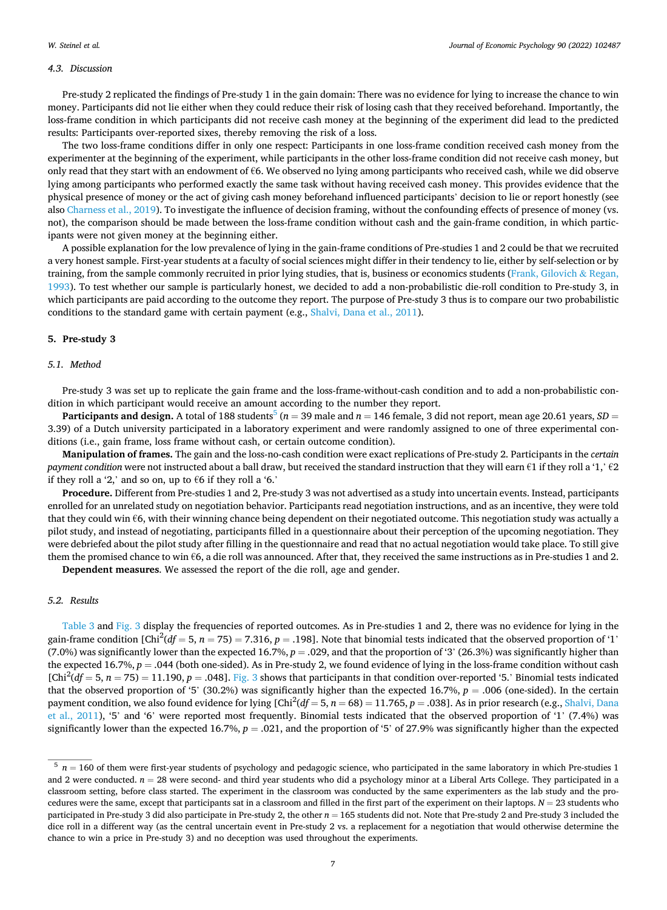# *4.3. Discussion*

Pre-study 2 replicated the findings of Pre-study 1 in the gain domain: There was no evidence for lying to increase the chance to win money. Participants did not lie either when they could reduce their risk of losing cash that they received beforehand. Importantly, the loss-frame condition in which participants did not receive cash money at the beginning of the experiment did lead to the predicted results: Participants over-reported sixes, thereby removing the risk of a loss.

The two loss-frame conditions differ in only one respect: Participants in one loss-frame condition received cash money from the experimenter at the beginning of the experiment, while participants in the other loss-frame condition did not receive cash money, but only read that they start with an endowment of  $66$ . We observed no lying among participants who received cash, while we did observe lying among participants who performed exactly the same task without having received cash money. This provides evidence that the physical presence of money or the act of giving cash money beforehand influenced participants' decision to lie or report honestly (see also [Charness et al., 2019](#page-11-0)). To investigate the influence of decision framing, without the confounding effects of presence of money (vs. not), the comparison should be made between the loss-frame condition without cash and the gain-frame condition, in which participants were not given money at the beginning either.

A possible explanation for the low prevalence of lying in the gain-frame conditions of Pre-studies 1 and 2 could be that we recruited a very honest sample. First-year students at a faculty of social sciences might differ in their tendency to lie, either by self-selection or by training, from the sample commonly recruited in prior lying studies, that is, business or economics students [\(Frank, Gilovich](#page-11-0) & Regan, [1993\)](#page-11-0). To test whether our sample is particularly honest, we decided to add a non-probabilistic die-roll condition to Pre-study 3, in which participants are paid according to the outcome they report. The purpose of Pre-study 3 thus is to compare our two probabilistic conditions to the standard game with certain payment (e.g., [Shalvi, Dana et al., 2011\)](#page-12-0).

### **5. Pre-study 3**

### *5.1. Method*

Pre-study 3 was set up to replicate the gain frame and the loss-frame-without-cash condition and to add a non-probabilistic condition in which participant would receive an amount according to the number they report.

**Participants and design.** A total of 188 students<sup>5</sup> ( $n = 39$  male and  $n = 146$  female, 3 did not report, mean age 20.61 years, *SD* = 3.39) of a Dutch university participated in a laboratory experiment and were randomly assigned to one of three experimental conditions (i.e., gain frame, loss frame without cash, or certain outcome condition).

**Manipulation of frames.** The gain and the loss-no-cash condition were exact replications of Pre-study 2. Participants in the *certain payment condition were not instructed about a ball draw, but received the standard instruction that they will earn €1 if they roll a '1,' €2* if they roll a '2,' and so on, up to  $66$  if they roll a '6.'

**Procedure.** Different from Pre-studies 1 and 2, Pre-study 3 was not advertised as a study into uncertain events. Instead, participants enrolled for an unrelated study on negotiation behavior. Participants read negotiation instructions, and as an incentive, they were told that they could win €6, with their winning chance being dependent on their negotiated outcome. This negotiation study was actually a pilot study, and instead of negotiating, participants filled in a questionnaire about their perception of the upcoming negotiation. They were debriefed about the pilot study after filling in the questionnaire and read that no actual negotiation would take place. To still give them the promised chance to win €6, a die roll was announced. After that, they received the same instructions as in Pre-studies 1 and 2.

**Dependent measures**. We assessed the report of the die roll, age and gender.

# *5.2. Results*

[Table 3](#page-7-0) and [Fig. 3](#page-7-0) display the frequencies of reported outcomes. As in Pre-studies 1 and 2, there was no evidence for lying in the gain-frame condition  $[Chi^2(df = 5, n = 75) = 7.316, p = .198]$ . Note that binomial tests indicated that the observed proportion of '1' (7.0%) was significantly lower than the expected 16.7%,  $p = 0.029$ , and that the proportion of '3' (26.3%) was significantly higher than the expected 16.7%,  $p = .044$  (both one-sided). As in Pre-study 2, we found evidence of lying in the loss-frame condition without cash  $[Chi^2(df = 5, n = 75) = 11.190, p = .048]$ . [Fig. 3](#page-7-0) shows that participants in that condition over-reported '5.' Binomial tests indicated that the observed proportion of '5' (30.2%) was significantly higher than the expected 16.7%,  $p = .006$  (one-sided). In the certain payment condition, we also found evidence for lying  $[Chi^2(df = 5, n = 68) = 11.765, p = .038]$ . As in prior research (e.g., [Shalvi, Dana](#page-12-0) [et al., 2011\)](#page-12-0), '5' and '6' were reported most frequently. Binomial tests indicated that the observed proportion of '1' (7.4%) was significantly lower than the expected 16.7%, *p* = .021, and the proportion of '5' of 27.9% was significantly higher than the expected

 $5$   $n = 160$  of them were first-year students of psychology and pedagogic science, who participated in the same laboratory in which Pre-studies 1 and 2 were conducted.  $n = 28$  were second- and third year students who did a psychology minor at a Liberal Arts College. They participated in a classroom setting, before class started. The experiment in the classroom was conducted by the same experimenters as the lab study and the procedures were the same, except that participants sat in a classroom and filled in the first part of the experiment on their laptops. *N* = 23 students who participated in Pre-study 3 did also participate in Pre-study 2, the other  $n = 165$  students did not. Note that Pre-study 2 and Pre-study 3 included the dice roll in a different way (as the central uncertain event in Pre-study 2 vs. a replacement for a negotiation that would otherwise determine the chance to win a price in Pre-study 3) and no deception was used throughout the experiments.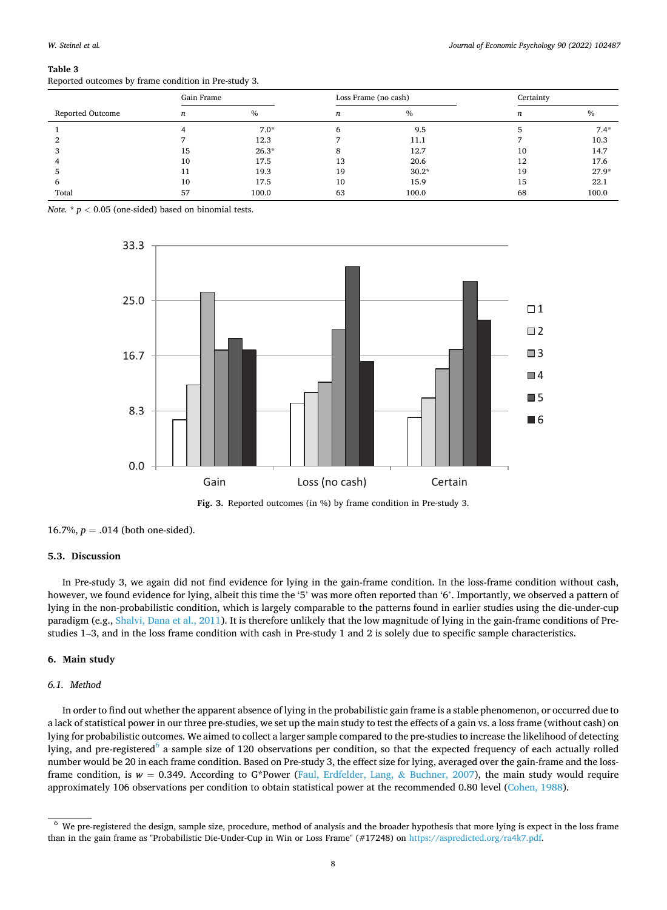#### <span id="page-7-0"></span>**Table 3**

|                  | Gain Frame |               | Loss Frame (no cash) |         | Certainty |         |
|------------------|------------|---------------|----------------------|---------|-----------|---------|
| Reported Outcome | n          | $\frac{0}{0}$ | n                    | $\%$    | n         | $\%$    |
|                  |            | $7.0*$        |                      | 9.5     |           | $7.4*$  |
|                  |            | 12.3          |                      | 11.1    |           | 10.3    |
|                  | 15         | $26.3*$       |                      | 12.7    | 10        | 14.7    |
|                  | 10         | 17.5          | 13                   | 20.6    | 12        | 17.6    |
|                  |            | 19.3          | 19                   | $30.2*$ | 19        | $27.9*$ |
| n                | 10         | 17.5          | 10                   | 15.9    | 15        | 22.1    |
| Total            | 57         | 100.0         | 63                   | 100.0   | 68        | 100.0   |

*Note.*  $* p < 0.05$  (one-sided) based on binomial tests.





16.7%,  $p = .014$  (both one-sided).

# **5.3. Discussion**

In Pre-study 3, we again did not find evidence for lying in the gain-frame condition. In the loss-frame condition without cash, however, we found evidence for lying, albeit this time the '5' was more often reported than '6'. Importantly, we observed a pattern of lying in the non-probabilistic condition, which is largely comparable to the patterns found in earlier studies using the die-under-cup paradigm (e.g., [Shalvi, Dana et al., 2011](#page-12-0)). It is therefore unlikely that the low magnitude of lying in the gain-frame conditions of Prestudies 1–3, and in the loss frame condition with cash in Pre-study 1 and 2 is solely due to specific sample characteristics.

# **6. Main study**

# *6.1. Method*

In order to find out whether the apparent absence of lying in the probabilistic gain frame is a stable phenomenon, or occurred due to a lack of statistical power in our three pre-studies, we set up the main study to test the effects of a gain vs. a loss frame (without cash) on lying for probabilistic outcomes. We aimed to collect a larger sample compared to the pre-studies to increase the likelihood of detecting lying, and pre-registered<sup>6</sup> a sample size of 120 observations per condition, so that the expected frequency of each actually rolled number would be 20 in each frame condition. Based on Pre-study 3, the effect size for lying, averaged over the gain-frame and the lossframe condition, is  $w = 0.349$ . According to G\*Power [\(Faul, Erdfelder, Lang,](#page-11-0) & Buchner, 2007), the main study would require approximately 106 observations per condition to obtain statistical power at the recommended 0.80 level ([Cohen, 1988](#page-11-0)).

<sup>&</sup>lt;sup>6</sup> We pre-registered the design, sample size, procedure, method of analysis and the broader hypothesis that more lying is expect in the loss frame than in the gain frame as "Probabilistic Die-Under-Cup in Win or Loss Frame" (#17248) on <https://aspredicted.org/ra4k7.pdf>.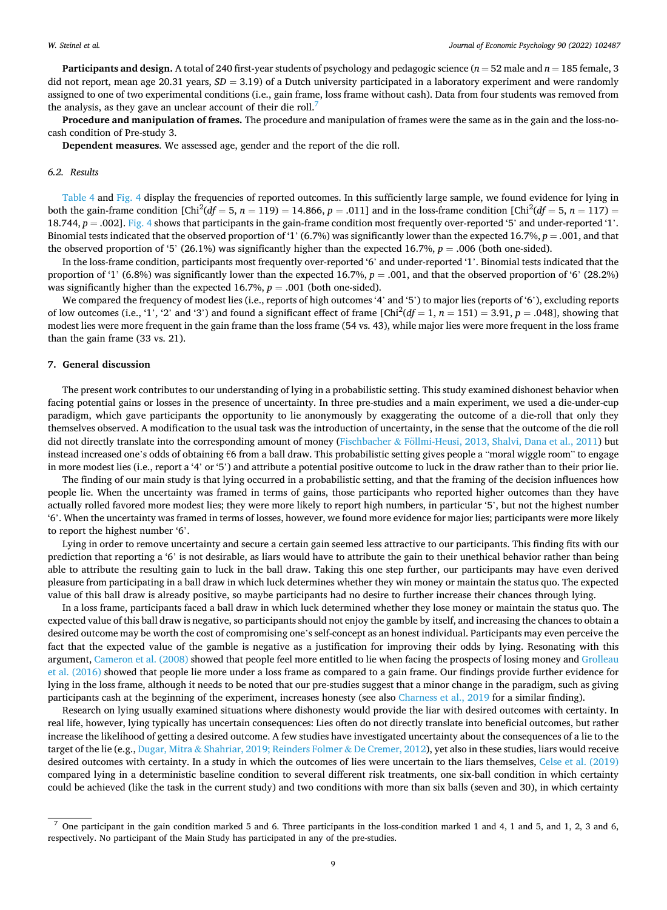**Participants and design.** A total of 240 first-year students of psychology and pedagogic science (*n* = 52 male and *n* = 185 female, 3 did not report, mean age 20.31 years, *SD* = 3.19) of a Dutch university participated in a laboratory experiment and were randomly assigned to one of two experimental conditions (i.e., gain frame, loss frame without cash). Data from four students was removed from the analysis, as they gave an unclear account of their die roll.<sup>7</sup>

**Procedure and manipulation of frames.** The procedure and manipulation of frames were the same as in the gain and the loss-nocash condition of Pre-study 3.

**Dependent measures**. We assessed age, gender and the report of the die roll.

#### *6.2. Results*

[Table 4](#page-9-0) and [Fig. 4](#page-9-0) display the frequencies of reported outcomes. In this sufficiently large sample, we found evidence for lying in both the gain-frame condition  $[Chi^2(df = 5, n = 119) = 14.866, p = .011]$  and in the loss-frame condition  $[Chi^2(df = 5, n = 117)$ 18.744, *p* = .002]. [Fig. 4](#page-9-0) shows that participants in the gain-frame condition most frequently over-reported '5' and under-reported '1'. Binomial tests indicated that the observed proportion of '1' (6.7%) was significantly lower than the expected 16.7%, *p* = .001, and that the observed proportion of '5' (26.1%) was significantly higher than the expected 16.7%, *p* = .006 (both one-sided).

In the loss-frame condition, participants most frequently over-reported '6' and under-reported '1'. Binomial tests indicated that the proportion of '1' (6.8%) was significantly lower than the expected 16.7%, *p* = .001, and that the observed proportion of '6' (28.2%) was significantly higher than the expected 16.7%,  $p = .001$  (both one-sided).

We compared the frequency of modest lies (i.e., reports of high outcomes '4' and '5') to major lies (reports of '6'), excluding reports of low outcomes (i.e., '1', '2' and '3') and found a significant effect of frame  $[Chi^2(df = 1, n = 151) = 3.91, p = .048]$ , showing that modest lies were more frequent in the gain frame than the loss frame (54 vs. 43), while major lies were more frequent in the loss frame than the gain frame (33 vs. 21).

# **7. General discussion**

The present work contributes to our understanding of lying in a probabilistic setting. This study examined dishonest behavior when facing potential gains or losses in the presence of uncertainty. In three pre-studies and a main experiment, we used a die-under-cup paradigm, which gave participants the opportunity to lie anonymously by exaggerating the outcome of a die-roll that only they themselves observed. A modification to the usual task was the introduction of uncertainty, in the sense that the outcome of the die roll did not directly translate into the corresponding amount of money (Fischbacher & Föllmi-Heusi, [2013, Shalvi, Dana et al., 2011](#page-11-0)) but instead increased one's odds of obtaining €6 from a ball draw. This probabilistic setting gives people a "moral wiggle room" to engage in more modest lies (i.e., report a '4' or '5') and attribute a potential positive outcome to luck in the draw rather than to their prior lie.

The finding of our main study is that lying occurred in a probabilistic setting, and that the framing of the decision influences how people lie. When the uncertainty was framed in terms of gains, those participants who reported higher outcomes than they have actually rolled favored more modest lies; they were more likely to report high numbers, in particular '5', but not the highest number '6'. When the uncertainty was framed in terms of losses, however, we found more evidence for major lies; participants were more likely to report the highest number '6'.

Lying in order to remove uncertainty and secure a certain gain seemed less attractive to our participants. This finding fits with our prediction that reporting a '6' is not desirable, as liars would have to attribute the gain to their unethical behavior rather than being able to attribute the resulting gain to luck in the ball draw. Taking this one step further, our participants may have even derived pleasure from participating in a ball draw in which luck determines whether they win money or maintain the status quo. The expected value of this ball draw is already positive, so maybe participants had no desire to further increase their chances through lying.

In a loss frame, participants faced a ball draw in which luck determined whether they lose money or maintain the status quo. The expected value of this ball draw is negative, so participants should not enjoy the gamble by itself, and increasing the chances to obtain a desired outcome may be worth the cost of compromising one's self-concept as an honest individual. Participants may even perceive the fact that the expected value of the gamble is negative as a justification for improving their odds by lying. Resonating with this argument, [Cameron et al. \(2008\)](#page-11-0) showed that people feel more entitled to lie when facing the prospects of losing money and [Grolleau](#page-11-0) [et al. \(2016\)](#page-11-0) showed that people lie more under a loss frame as compared to a gain frame. Our findings provide further evidence for lying in the loss frame, although it needs to be noted that our pre-studies suggest that a minor change in the paradigm, such as giving participants cash at the beginning of the experiment, increases honesty (see also [Charness et al., 2019](#page-11-0) for a similar finding).

Research on lying usually examined situations where dishonesty would provide the liar with desired outcomes with certainty. In real life, however, lying typically has uncertain consequences: Lies often do not directly translate into beneficial outcomes, but rather increase the likelihood of getting a desired outcome. A few studies have investigated uncertainty about the consequences of a lie to the target of the lie (e.g., Dugar, Mitra & [Shahriar, 2019; Reinders Folmer](#page-11-0) & De Cremer, 2012), yet also in these studies, liars would receive desired outcomes with certainty. In a study in which the outcomes of lies were uncertain to the liars themselves, [Celse et al. \(2019\)](#page-11-0) compared lying in a deterministic baseline condition to several different risk treatments, one six-ball condition in which certainty could be achieved (like the task in the current study) and two conditions with more than six balls (seven and 30), in which certainty

 $<sup>7</sup>$  One participant in the gain condition marked 5 and 6. Three participants in the loss-condition marked 1 and 4, 1 and 5, and 1, 2, 3 and 6,</sup> respectively. No participant of the Main Study has participated in any of the pre-studies.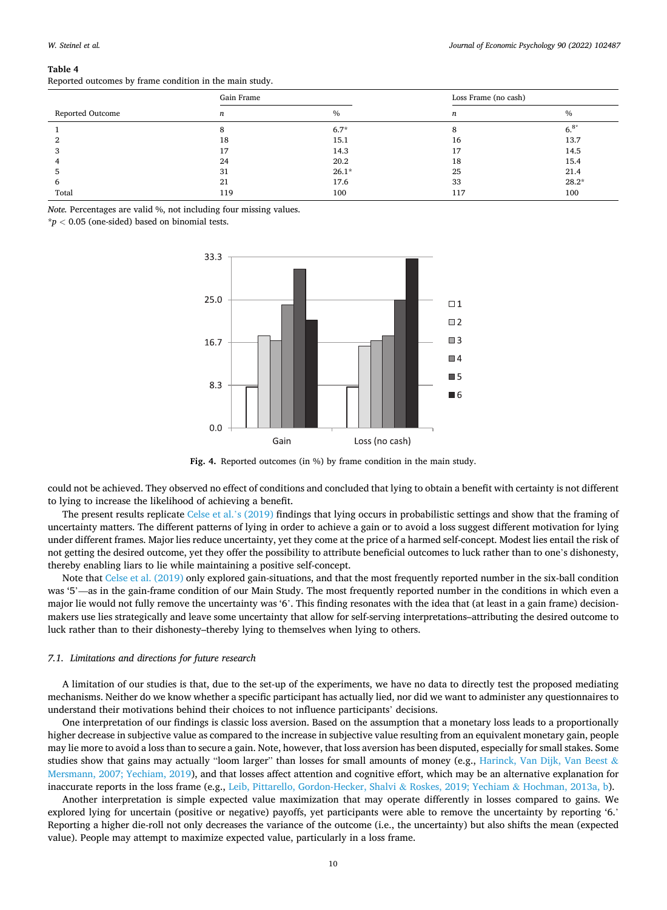#### <span id="page-9-0"></span>**Table 4**

Reported outcomes by frame condition in the main study.

|                  | Gain Frame |         | Loss Frame (no cash) |               |  |
|------------------|------------|---------|----------------------|---------------|--|
| Reported Outcome | n          | $\%$    | n                    | $\frac{0}{0}$ |  |
|                  |            | $6.7*$  | o                    | $6.8*$        |  |
|                  | 18         | 15.1    | 16                   | 13.7          |  |
|                  | 17         | 14.3    |                      | 14.5          |  |
|                  | 24         | 20.2    | 18                   | 15.4          |  |
|                  | 31         | $26.1*$ | 25                   | 21.4          |  |
| n                | 21         | 17.6    | 33                   | $28.2*$       |  |
| Total            | 119        | 100     | 117                  | 100           |  |

*Note.* Percentages are valid %, not including four missing values.

\**p <* 0.05 (one-sided) based on binomial tests.



Fig. 4. Reported outcomes (in %) by frame condition in the main study.

could not be achieved. They observed no effect of conditions and concluded that lying to obtain a benefit with certainty is not different to lying to increase the likelihood of achieving a benefit.

The present results replicate [Celse et al.](#page-11-0)'s (2019) findings that lying occurs in probabilistic settings and show that the framing of uncertainty matters. The different patterns of lying in order to achieve a gain or to avoid a loss suggest different motivation for lying under different frames. Major lies reduce uncertainty, yet they come at the price of a harmed self-concept. Modest lies entail the risk of not getting the desired outcome, yet they offer the possibility to attribute beneficial outcomes to luck rather than to one's dishonesty, thereby enabling liars to lie while maintaining a positive self-concept.

Note that [Celse et al. \(2019\)](#page-11-0) only explored gain-situations, and that the most frequently reported number in the six-ball condition was '5'—as in the gain-frame condition of our Main Study. The most frequently reported number in the conditions in which even a major lie would not fully remove the uncertainty was '6'. This finding resonates with the idea that (at least in a gain frame) decisionmakers use lies strategically and leave some uncertainty that allow for self-serving interpretations–attributing the desired outcome to luck rather than to their dishonesty–thereby lying to themselves when lying to others.

## *7.1. Limitations and directions for future research*

A limitation of our studies is that, due to the set-up of the experiments, we have no data to directly test the proposed mediating mechanisms. Neither do we know whether a specific participant has actually lied, nor did we want to administer any questionnaires to understand their motivations behind their choices to not influence participants' decisions.

One interpretation of our findings is classic loss aversion. Based on the assumption that a monetary loss leads to a proportionally higher decrease in subjective value as compared to the increase in subjective value resulting from an equivalent monetary gain, people may lie more to avoid a loss than to secure a gain. Note, however, that loss aversion has been disputed, especially for small stakes. Some studies show that gains may actually "loom larger" than losses for small amounts of money (e.g., [Harinck, Van Dijk, Van Beest](#page-11-0)  $\&$ [Mersmann, 2007; Yechiam, 2019](#page-11-0)), and that losses affect attention and cognitive effort, which may be an alternative explanation for inaccurate reports in the loss frame (e.g., [Leib, Pittarello, Gordon-Hecker, Shalvi](#page-11-0) & Roskes, 2019; Yechiam & Hochman, 2013a, b).

Another interpretation is simple expected value maximization that may operate differently in losses compared to gains. We explored lying for uncertain (positive or negative) payoffs, yet participants were able to remove the uncertainty by reporting '6.' Reporting a higher die-roll not only decreases the variance of the outcome (i.e., the uncertainty) but also shifts the mean (expected value). People may attempt to maximize expected value, particularly in a loss frame.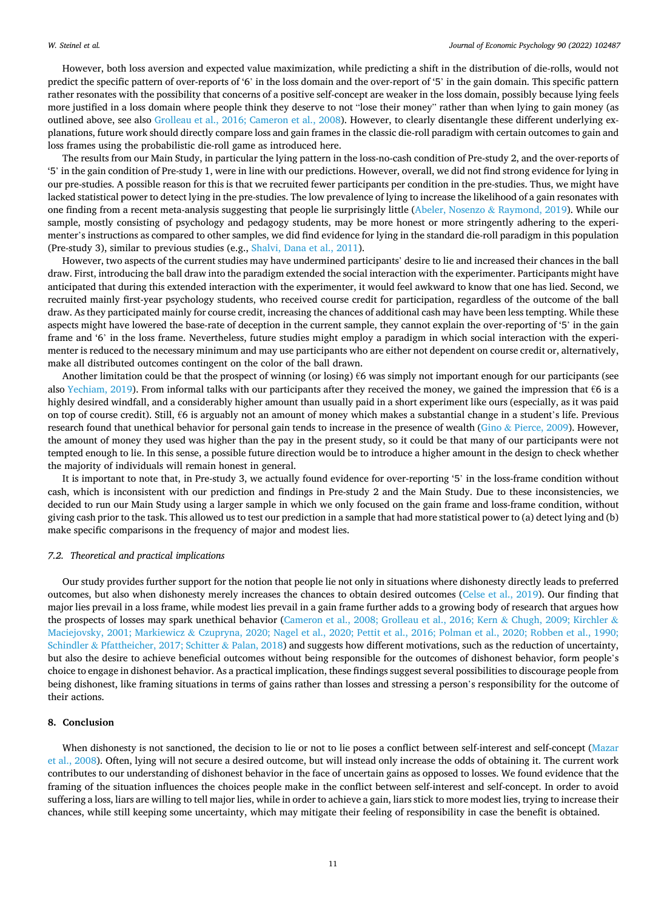However, both loss aversion and expected value maximization, while predicting a shift in the distribution of die-rolls, would not predict the specific pattern of over-reports of '6' in the loss domain and the over-report of '5' in the gain domain. This specific pattern rather resonates with the possibility that concerns of a positive self-concept are weaker in the loss domain, possibly because lying feels more justified in a loss domain where people think they deserve to not "lose their money" rather than when lying to gain money (as outlined above, see also [Grolleau et al., 2016; Cameron et al., 2008](#page-11-0)). However, to clearly disentangle these different underlying explanations, future work should directly compare loss and gain frames in the classic die-roll paradigm with certain outcomes to gain and loss frames using the probabilistic die-roll game as introduced here.

The results from our Main Study, in particular the lying pattern in the loss-no-cash condition of Pre-study 2, and the over-reports of '5' in the gain condition of Pre-study 1, were in line with our predictions. However, overall, we did not find strong evidence for lying in our pre-studies. A possible reason for this is that we recruited fewer participants per condition in the pre-studies. Thus, we might have lacked statistical power to detect lying in the pre-studies. The low prevalence of lying to increase the likelihood of a gain resonates with one finding from a recent meta-analysis suggesting that people lie surprisingly little ([Abeler, Nosenzo](#page-11-0) & Raymond, 2019). While our sample, mostly consisting of psychology and pedagogy students, may be more honest or more stringently adhering to the experimenter's instructions as compared to other samples, we did find evidence for lying in the standard die-roll paradigm in this population (Pre-study 3), similar to previous studies (e.g., [Shalvi, Dana et al., 2011\)](#page-12-0).

However, two aspects of the current studies may have undermined participants' desire to lie and increased their chances in the ball draw. First, introducing the ball draw into the paradigm extended the social interaction with the experimenter. Participants might have anticipated that during this extended interaction with the experimenter, it would feel awkward to know that one has lied. Second, we recruited mainly first-year psychology students, who received course credit for participation, regardless of the outcome of the ball draw. As they participated mainly for course credit, increasing the chances of additional cash may have been less tempting. While these aspects might have lowered the base-rate of deception in the current sample, they cannot explain the over-reporting of '5' in the gain frame and '6' in the loss frame. Nevertheless, future studies might employ a paradigm in which social interaction with the experimenter is reduced to the necessary minimum and may use participants who are either not dependent on course credit or, alternatively, make all distributed outcomes contingent on the color of the ball drawn.

Another limitation could be that the prospect of winning (or losing)  $\epsilon$ 6 was simply not important enough for our participants (see also [Yechiam, 2019](#page-12-0)). From informal talks with our participants after they received the money, we gained the impression that €6 is a highly desired windfall, and a considerably higher amount than usually paid in a short experiment like ours (especially, as it was paid on top of course credit). Still, €6 is arguably not an amount of money which makes a substantial change in a student's life. Previous research found that unethical behavior for personal gain tends to increase in the presence of wealth (Gino & [Pierce, 2009](#page-11-0)). However, the amount of money they used was higher than the pay in the present study, so it could be that many of our participants were not tempted enough to lie. In this sense, a possible future direction would be to introduce a higher amount in the design to check whether the majority of individuals will remain honest in general.

It is important to note that, in Pre-study 3, we actually found evidence for over-reporting '5' in the loss-frame condition without cash, which is inconsistent with our prediction and findings in Pre-study 2 and the Main Study. Due to these inconsistencies, we decided to run our Main Study using a larger sample in which we only focused on the gain frame and loss-frame condition, without giving cash prior to the task. This allowed us to test our prediction in a sample that had more statistical power to (a) detect lying and (b) make specific comparisons in the frequency of major and modest lies.

#### *7.2. Theoretical and practical implications*

Our study provides further support for the notion that people lie not only in situations where dishonesty directly leads to preferred outcomes, but also when dishonesty merely increases the chances to obtain desired outcomes ([Celse et al., 2019](#page-11-0)). Our finding that major lies prevail in a loss frame, while modest lies prevail in a gain frame further adds to a growing body of research that argues how the prospects of losses may spark unethical behavior ([Cameron et al., 2008; Grolleau et al., 2016; Kern](#page-11-0) & Chugh, 2009; Kirchler & Maciejovsky, 2001; Markiewicz & [Czupryna, 2020; Nagel et al., 2020; Pettit et al., 2016; Polman et al., 2020; Robben et al., 1990;](#page-11-0) Schindler & [Pfattheicher, 2017; Schitter](#page-11-0) & Palan, 2018) and suggests how different motivations, such as the reduction of uncertainty, but also the desire to achieve beneficial outcomes without being responsible for the outcomes of dishonest behavior, form people's choice to engage in dishonest behavior. As a practical implication, these findings suggest several possibilities to discourage people from being dishonest, like framing situations in terms of gains rather than losses and stressing a person's responsibility for the outcome of their actions.

# **8. Conclusion**

When dishonesty is not sanctioned, the decision to lie or not to lie poses a conflict between self-interest and self-concept [\(Mazar](#page-11-0) [et al., 2008\)](#page-11-0). Often, lying will not secure a desired outcome, but will instead only increase the odds of obtaining it. The current work contributes to our understanding of dishonest behavior in the face of uncertain gains as opposed to losses. We found evidence that the framing of the situation influences the choices people make in the conflict between self-interest and self-concept. In order to avoid suffering a loss, liars are willing to tell major lies, while in order to achieve a gain, liars stick to more modest lies, trying to increase their chances, while still keeping some uncertainty, which may mitigate their feeling of responsibility in case the benefit is obtained.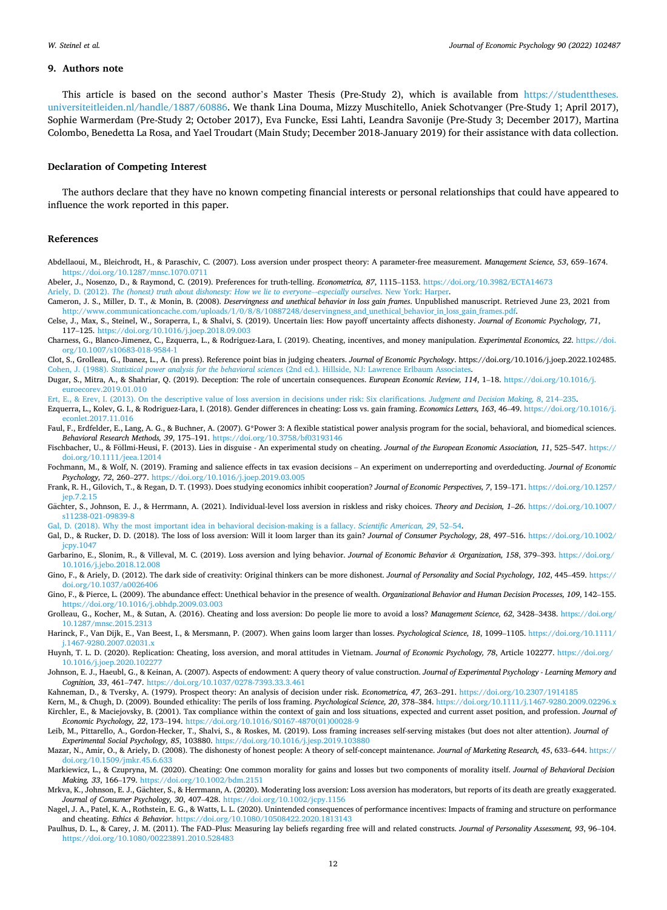#### <span id="page-11-0"></span>**9. Authors note**

This article is based on the second author's Master Thesis (Pre-Study 2), which is available from [https://studenttheses.](https://studenttheses.universiteitleiden.nl/handle/1887/60886) [universiteitleiden.nl/handle/1887/60886.](https://studenttheses.universiteitleiden.nl/handle/1887/60886) We thank Lina Douma, Mizzy Muschitello, Aniek Schotvanger (Pre-Study 1; April 2017), Sophie Warmerdam (Pre-Study 2; October 2017), Eva Funcke, Essi Lahti, Leandra Savonije (Pre-Study 3; December 2017), Martina Colombo, Benedetta La Rosa, and Yael Troudart (Main Study; December 2018-January 2019) for their assistance with data collection.

# **Declaration of Competing Interest**

The authors declare that they have no known competing financial interests or personal relationships that could have appeared to influence the work reported in this paper.

#### **References**

- Abdellaoui, M., Bleichrodt, H., & Paraschiv, C. (2007). Loss aversion under prospect theory: A parameter-free measurement. *Management Science, 53*, 659–1674. <https://doi.org/10.1287/mnsc.1070.0711>
- Abeler, J., Nosenzo, D., & Raymond, C. (2019). Preferences for truth-telling. *Econometrica, 87*, 1115–1153. <https://doi.org/10.3982/ECTA14673> Ariely, D. (2012). *[The \(honest\) truth about dishonesty: How we lie to everyone](http://refhub.elsevier.com/S0167-4870(22)00006-X/h0015)*–*-especially ourselves*. New York: Harper.
- Cameron, J. S., Miller, D. T., & Monin, B. (2008). *Deservingness and unethical behavior in loss gain frames*. Unpublished manuscript. Retrieved June 23, 2021 from [http://www.communicationcache.com/uploads/1/0/8/8/10887248/deservingness\\_and\\_unethical\\_behavior\\_in\\_loss\\_gain\\_frames.pdf](http://www.communicationcache.com/uploads/1/0/8/8/10887248/deservingness_and_unethical_behavior_in_loss_gain_frames.pdf).
- Celse, J., Max, S., Steinel, W., Soraperra, I., & Shalvi, S. (2019). Uncertain lies: How payoff uncertainty affects dishonesty. *Journal of Economic Psychology, 71*, 117–125. <https://doi.org/10.1016/j.joep.2018.09.003>
- Charness, G., Blanco-Jimenez, C., Ezquerra, L., & Rodriguez-Lara, I. (2019). Cheating, incentives, and money manipulation. *Experimental Economics, 22*. [https://doi.](https://doi.org/10.1007/s10683-018-9584-1) [org/10.1007/s10683-018-9584-1](https://doi.org/10.1007/s10683-018-9584-1)

Clot, S., Grolleau, G., Ibanez, L., A. (in press). Reference point bias in judging cheaters. *Journal of Economic Psychology*. https://doi.org/10.1016/j.joep.2022.102485. Cohen, J. (1988). *Statistical power analysis for the behavioral sciences* [\(2nd ed.\). Hillside, NJ: Lawrence Erlbaum Associates.](http://refhub.elsevier.com/S0167-4870(22)00006-X/h0040)

Dugar, S., Mitra, A., & Shahriar, Q. (2019). Deception: The role of uncertain consequences. *European Economic Review, 114*, 1–18. [https://doi.org/10.1016/j.](https://doi.org/10.1016/j.euroecorev.2019.01.010)  [euroecorev.2019.01.010](https://doi.org/10.1016/j.euroecorev.2019.01.010) 

[Ert, E., & Erev, I. \(2013\). On the descriptive value of loss aversion in decisions under risk: Six clarifications.](http://refhub.elsevier.com/S0167-4870(22)00006-X/h0050) *Judgment and Decision Making, 8*, 214–235.

Ezquerra, L., Kolev, G. I., & Rodriguez-Lara, I. (2018). Gender differences in cheating: Loss vs. gain framing. *Economics Letters, 163*, 46–49. [https://doi.org/10.1016/j.](https://doi.org/10.1016/j.econlet.2017.11.016) [econlet.2017.11.016](https://doi.org/10.1016/j.econlet.2017.11.016) 

- Faul, F., Erdfelder, E., Lang, A. G., & Buchner, A. (2007). G\*Power 3: A flexible statistical power analysis program for the social, behavioral, and biomedical sciences. *Behavioral Research Methods, 39*, 175–191. <https://doi.org/10.3758/bf03193146>
- Fischbacher, U., & Föllmi-Heusi, F. (2013). Lies in disguise An experimental study on cheating. Journal of the European Economic Association, 11, 525-547. [https://](https://doi.org/10.1111/jeea.12014) [doi.org/10.1111/jeea.12014](https://doi.org/10.1111/jeea.12014)
- Fochmann, M., & Wolf, N. (2019). Framing and salience effects in tax evasion decisions An experiment on underreporting and overdeducting. *Journal of Economic Psychology, 72*, 260–277. <https://doi.org/10.1016/j.joep.2019.03.005>
- Frank, R. H., Gilovich, T., & Regan, D. T. (1993). Does studying economics inhibit cooperation? *Journal of Economic Perspectives, 7*, 159–171. [https://doi.org/10.1257/](https://doi.org/10.1257/jep.7.2.15) [jep.7.2.15](https://doi.org/10.1257/jep.7.2.15)
- Gächter, S., Johnson, E. J., & Herrmann, A. (2021). Individual-level loss aversion in riskless and risky choices. Theory and Decision, 1-26. [https://doi.org/10.1007/](https://doi.org/10.1007/s11238-021-09839-8) [s11238-021-09839-8](https://doi.org/10.1007/s11238-021-09839-8)

[Gal, D. \(2018\). Why the most important idea in behavioral decision-making is a fallacy.](http://refhub.elsevier.com/S0167-4870(22)00006-X/h0085) *Scientific American, 29*, 52–54.

Gal, D., & Rucker, D. D. (2018). The loss of loss aversion: Will it loom larger than its gain? *Journal of Consumer Psychology, 28*, 497–516. [https://doi.org/10.1002/](https://doi.org/10.1002/jcpy.1047) [jcpy.1047](https://doi.org/10.1002/jcpy.1047) 

Garbarino, E., Slonim, R., & Villeval, M. C. (2019). Loss aversion and lying behavior. *Journal of Economic Behavior & Organization, 158*, 379–393. [https://doi.org/](https://doi.org/10.1016/j.jebo.2018.12.008)  [10.1016/j.jebo.2018.12.008](https://doi.org/10.1016/j.jebo.2018.12.008) 

Gino, F., & Ariely, D. (2012). The dark side of creativity: Original thinkers can be more dishonest. *Journal of Personality and Social Psychology, 102*, 445–459. [https://](https://doi.org/10.1037/a0026406) [doi.org/10.1037/a0026406](https://doi.org/10.1037/a0026406)

- Gino, F., & Pierce, L. (2009). The abundance effect: Unethical behavior in the presence of wealth. *Organizational Behavior and Human Decision Processes, 109*, 142–155. <https://doi.org/10.1016/j.obhdp.2009.03.003>
- Grolleau, G., Kocher, M., & Sutan, A. (2016). Cheating and loss aversion: Do people lie more to avoid a loss? *Management Science, 62*, 3428–3438. [https://doi.org/](https://doi.org/10.1287/mnsc.2015.2313) [10.1287/mnsc.2015.2313](https://doi.org/10.1287/mnsc.2015.2313)
- Harinck, F., Van Dijk, E., Van Beest, I., & Mersmann, P. (2007). When gains loom larger than losses. Psychological Science, 18, 1099-1105. [https://doi.org/10.1111/](https://doi.org/10.1111/j.1467-9280.2007.02031.x) [j.1467-9280.2007.02031.x](https://doi.org/10.1111/j.1467-9280.2007.02031.x)
- Huynh, T. L. D. (2020). Replication: Cheating, loss aversion, and moral attitudes in Vietnam. *Journal of Economic Psychology, 78*, Article 102277. [https://doi.org/](https://doi.org/10.1016/j.joep.2020.102277) [10.1016/j.joep.2020.102277](https://doi.org/10.1016/j.joep.2020.102277)
- Johnson, E. J., Haeubl, G., & Keinan, A. (2007). Aspects of endowment: A query theory of value construction. *Journal of Experimental Psychology Learning Memory and Cognition, 33*, 461–747. <https://doi.org/10.1037/0278-7393.33.3.461>

Kahneman, D., & Tversky, A. (1979). Prospect theory: An analysis of decision under risk. *Econometrica, 47*, 263–291. <https://doi.org/10.2307/1914185>

Kern, M., & Chugh, D. (2009). Bounded ethicality: The perils of loss framing. *Psychological Science, 20*, 378–384.<https://doi.org/10.1111/j.1467-9280.2009.02296.x> Kirchler, E., & Maciejovsky, B. (2001). Tax compliance within the context of gain and loss situations, expected and current asset position, and profession. *Journal of Economic Psychology, 22*, 173–194. [https://doi.org/10.1016/S0167-4870\(01\)00028-9](https://doi.org/10.1016/S0167-4870(01)00028-9)

Leib, M., Pittarello, A., Gordon-Hecker, T., Shalvi, S., & Roskes, M. (2019). Loss framing increases self-serving mistakes (but does not alter attention). *Journal of Experimental Social Psychology, 85*, 103880. <https://doi.org/10.1016/j.jesp.2019.103880>

Mazar, N., Amir, O., & Ariely, D. (2008). The dishonesty of honest people: A theory of self-concept maintenance. *Journal of Marketing Research, 45*, 633–644. [https://](https://doi.org/10.1509/jmkr.45.6.633) [doi.org/10.1509/jmkr.45.6.633](https://doi.org/10.1509/jmkr.45.6.633) 

Markiewicz, L., & Czupryna, M. (2020). Cheating: One common morality for gains and losses but two components of morality itself. *Journal of Behavioral Decision Making, 33*, 166–179.<https://doi.org/10.1002/bdm.2151>

Mrkva, K., Johnson, E. J., Gächter, S., & Herrmann, A. (2020). Moderating loss aversion: Loss aversion has moderators, but reports of its death are greatly exaggerated. *Journal of Consumer Psychology, 30*, 407–428.<https://doi.org/10.1002/jcpy.1156>

- Nagel, J. A., Patel, K. A., Rothstein, E. G., & Watts, L. L. (2020). Unintended consequences of performance incentives: Impacts of framing and structure on performance and cheating. *Ethics & Behavior*. <https://doi.org/10.1080/10508422.2020.1813143>
- Paulhus, D. L., & Carey, J. M. (2011). The FAD–Plus: Measuring lay beliefs regarding free will and related constructs. *Journal of Personality Assessment, 93*, 96–104. <https://doi.org/10.1080/00223891.2010.528483>